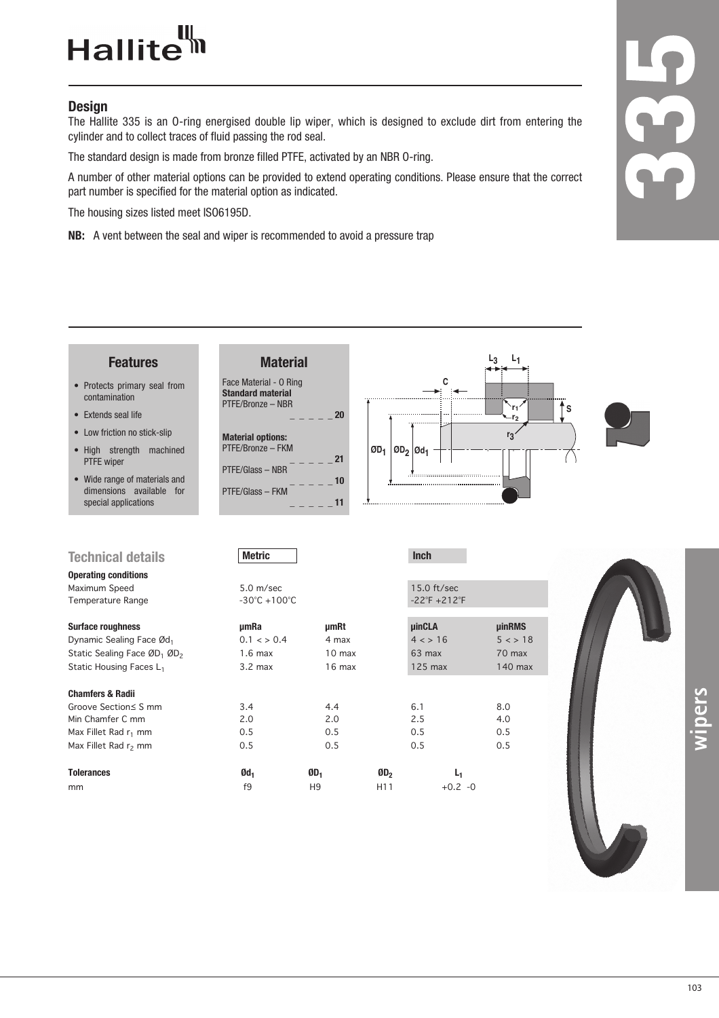## Hallite<sup>th</sup>

## **Design**

The Hallite 335 is an O-ring energised double lip wiper, which is designed to exclude dirt from entering the cylinder and to collect traces of fluid passing the rod seal.

The standard design is made from bronze filled PTFE, activated by an NBR O-ring.

A number of other material options can be provided to extend operating conditions. Please ensure that the correct part number is specified for the material option as indicated.

The housing sizes listed meet ISO6195D.

**NB:** A vent between the seal and wiper is recommended to avoid a pressure trap

**Material**

Face Material - O Ring **Standard material** PTFE/Bronze – NBR

**Material options:** PTFE/Bronze – FKM

PTFE/Glass – NBR

PTFE/Glass – FKM

## **Features**

- Protects primary seal from contamination
- Extends seal life
- Low friction no stick-slip
- High strength machined PTFE wiper
- Wide range of materials and dimensions available for special applications

| <b>Technical details</b>                            | <b>Metric</b>                     |                 | <b>Inch</b>                       |               |  |  |  |  |
|-----------------------------------------------------|-----------------------------------|-----------------|-----------------------------------|---------------|--|--|--|--|
| <b>Operating conditions</b>                         |                                   |                 |                                   |               |  |  |  |  |
| Maximum Speed                                       | $5.0 \text{ m/sec}$               |                 | $15.0$ ft/sec                     |               |  |  |  |  |
| <b>Temperature Range</b>                            | $-30^{\circ}$ C +100 $^{\circ}$ C |                 | $-22^{\circ}F + 212^{\circ}F$     |               |  |  |  |  |
| <b>Surface roughness</b>                            | umRa                              | µmRt            | <b>uinCLA</b>                     | <b>µinRMS</b> |  |  |  |  |
| Dynamic Sealing Face Ød1                            | $0.1 \leq x \leq 0.4$             | 4 max           | 4 < > 16                          | 5 < 18        |  |  |  |  |
| Static Sealing Face ØD <sub>1</sub> ØD <sub>2</sub> | $1.6 \text{ max}$                 | 10 max          | 63 max                            | 70 max        |  |  |  |  |
| Static Housing Faces L <sub>1</sub>                 | $3.2 \text{ max}$                 | 16 max          | $125$ max                         | 140 max       |  |  |  |  |
| <b>Chamfers &amp; Radii</b>                         |                                   |                 |                                   |               |  |  |  |  |
| Groove Section≤ S mm                                | 3.4                               | 4.4             | 6.1                               | 8.0           |  |  |  |  |
| Min Chamfer C mm                                    | 2.0                               | 2.0             | 2.5                               | 4.0           |  |  |  |  |
| Max Fillet Rad $r_1$ mm                             | 0.5                               | 0.5             | 0.5                               | 0.5           |  |  |  |  |
| Max Fillet Rad $r_2$ mm                             | 0.5                               | 0.5             | 0.5                               | 0.5           |  |  |  |  |
| <b>Tolerances</b>                                   | Ød <sub>1</sub>                   | ØD <sub>1</sub> | ØD <sub>2</sub><br>L <sub>1</sub> |               |  |  |  |  |



| <b>Surface roughness</b>         | umRa                  | <b>umRt</b>     |                 | <b>uinCLA</b>  | <b>uinRMS</b> |  |  |
|----------------------------------|-----------------------|-----------------|-----------------|----------------|---------------|--|--|
| Dynamic Sealing Face Ød1         | $0.1 \leq x \leq 0.4$ | 4 max           |                 | 4 < > 16       | 5 < 18        |  |  |
| Static Sealing Face ØD1 ØD2      | $1.6$ max             | $10$ max        |                 | $63$ max       | 70 max        |  |  |
| Static Housing Faces L1          | $3.2$ max             | $16$ max        |                 | $125$ max      | 140 max       |  |  |
| Chamfers & Radii                 |                       |                 |                 |                |               |  |  |
| Groove Section≤ S mm             | 3.4                   | 4.4             |                 | 6.1            | 8.0           |  |  |
| Min Chamfer C mm                 | 2.0                   | 2.0             |                 | 2.5            | 4.0           |  |  |
| Max Fillet Rad r <sub>1</sub> mm | 0.5                   | 0.5             |                 | 0.5            | 0.5           |  |  |
| Max Fillet Rad r <sub>2</sub> mm | 0.5                   | 0.5             |                 | 0.5            | 0.5           |  |  |
| <b>Tolerances</b>                | Ød <sub>1</sub>       | ØD <sub>1</sub> | ØD <sub>2</sub> | L <sub>1</sub> |               |  |  |
| mm                               | f9                    | H <sub>9</sub>  | H <sub>11</sub> | $+0.2 -0$      |               |  |  |
|                                  |                       |                 |                 |                |               |  |  |



**wipers**